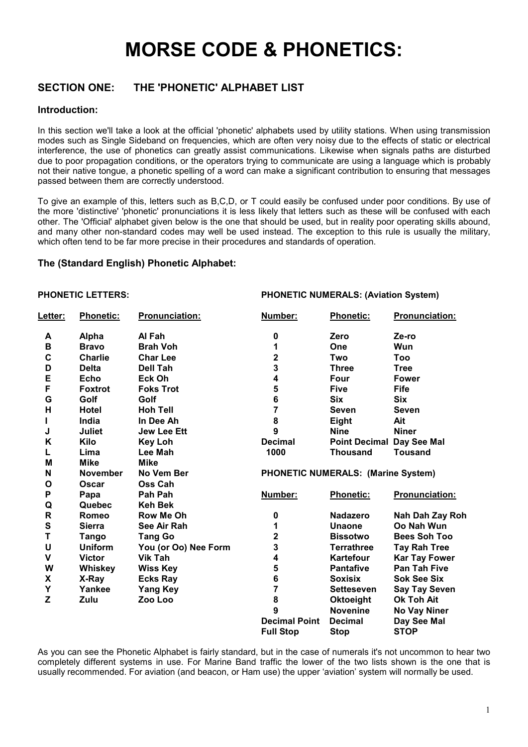# **MORSE CODE & PHONETICS:**

#### **SECTION ONE:** THE 'PHONETIC' ALPHABET LIST

#### Introduction:

In this section we'll take a look at the official 'phonetic' alphabets used by utility stations. When using transmission modes such as Single Sideband on frequencies, which are often very noisy due to the effects of static or electrical interference, the use of phonetics can greatly assist communications. Likewise when signals paths are disturbed due to poor propagation conditions, or the operators trying to communicate are using a language which is probably not their native tongue, a phonetic spelling of a word can make a significant contribution to ensuring that messages passed between them are correctly understood.

To give an example of this, letters such as B.C.D. or T could easily be confused under poor conditions. By use of the more 'distinctive' 'phonetic' pronunciations it is less likely that letters such as these will be confused with each other. The 'Official' alphabet given below is the one that should be used, but in reality poor operating skills abound. and many other non-standard codes may well be used instead. The exception to this rule is usually the military, which often tend to be far more precise in their procedures and standards of operation.

#### The (Standard English) Phonetic Alphabet:

#### **PHONETIC LETTERS:**

**PHONETIC NUMERALS: (Aviation System)** 

| Letter:            | Phonetic:       | Pronunciation:       | Number:                 | Phonetic:                                 | Pronunciation:        |
|--------------------|-----------------|----------------------|-------------------------|-------------------------------------------|-----------------------|
| A                  | <b>Alpha</b>    | Al Fah               | 0                       | Zero                                      | Ze-ro                 |
| $\mathbf B$        | <b>Bravo</b>    | <b>Brah Voh</b>      | 1                       | One                                       | Wun                   |
| $\mathbf C$        | <b>Charlie</b>  | <b>Char Lee</b>      | $\overline{\mathbf{2}}$ | Two                                       | Too                   |
| D                  | <b>Delta</b>    | Dell Tah             | 3                       | <b>Three</b>                              | <b>Tree</b>           |
| E                  | Echo            | Eck Oh               | 4                       | Four                                      | <b>Fower</b>          |
| F                  | <b>Foxtrot</b>  | <b>Foks Trot</b>     | 5                       | <b>Five</b>                               | <b>Fife</b>           |
| G                  | Golf            | Golf                 | 6                       | <b>Six</b>                                | <b>Six</b>            |
| н                  | <b>Hotel</b>    | <b>Hoh Tell</b>      | 7                       | <b>Seven</b>                              | <b>Seven</b>          |
|                    | India           | In Dee Ah            | 8                       | <b>Eight</b>                              | Ait                   |
| J                  | <b>Juliet</b>   | <b>Jew Lee Ett</b>   | 9                       | <b>Nine</b>                               | <b>Niner</b>          |
| K                  | <b>Kilo</b>     | <b>Key Loh</b>       | <b>Decimal</b>          | <b>Point Decimal</b>                      | Day See Mal           |
| Г                  | Lima            | Lee Mah              | 1000                    | <b>Thousand</b>                           | <b>Tousand</b>        |
| M                  | <b>Mike</b>     | <b>Mike</b>          |                         |                                           |                       |
| N                  | <b>November</b> | No Vem Ber           |                         | <b>PHONETIC NUMERALS: (Marine System)</b> |                       |
| $\mathbf{o}$       | Oscar           | Oss Cah              |                         |                                           |                       |
| P                  | Papa            | Pah Pah              | Number:                 | <b>Phonetic:</b>                          | <b>Pronunciation:</b> |
| Q                  | Quebec          | <b>Keh Bek</b>       |                         |                                           |                       |
| $\mathsf{R}$       | Romeo           | <b>Row Me Oh</b>     | 0                       | <b>Nadazero</b>                           | Nah Dah Zay Roh       |
| ${\bf S}$          | <b>Sierra</b>   | See Air Rah          | 1                       | <b>Unaone</b>                             | Oo Nah Wun            |
| T                  | <b>Tango</b>    | <b>Tang Go</b>       | $\overline{\mathbf{2}}$ | <b>Bissotwo</b>                           | <b>Bees Soh Too</b>   |
| U                  | <b>Uniform</b>  | You (or Oo) Nee Form | 3                       | <b>Terrathree</b>                         | Tay Rah Tree          |
| $\mathbf v$        | <b>Victor</b>   | Vik Tah              | 4                       | Kartefour                                 | <b>Kar Tay Fower</b>  |
| W                  | <b>Whiskey</b>  | <b>Wiss Key</b>      | 5                       | <b>Pantafive</b>                          | Pan Tah Five          |
| $\pmb{\mathsf{X}}$ | X-Ray           | <b>Ecks Ray</b>      | 6                       | <b>Soxisix</b>                            | <b>Sok See Six</b>    |
| Y                  | Yankee          | <b>Yang Key</b>      | $\overline{7}$          | <b>Setteseven</b>                         | <b>Say Tay Seven</b>  |
| Z                  | Zulu            | Zoo Loo              | 8                       | <b>Oktoeight</b>                          | <b>Ok Toh Ait</b>     |
|                    |                 |                      | 9                       | <b>Novenine</b>                           | No Vay Niner          |
|                    |                 |                      | <b>Decimal Point</b>    | <b>Decimal</b>                            | Day See Mal           |
|                    |                 |                      | <b>Full Stop</b>        | <b>Stop</b>                               | <b>STOP</b>           |

As you can see the Phonetic Alphabet is fairly standard, but in the case of numerals it's not uncommon to hear two completely different systems in use. For Marine Band traffic the lower of the two lists shown is the one that is usually recommended. For aviation (and beacon, or Ham use) the upper 'aviation' system will normally be used.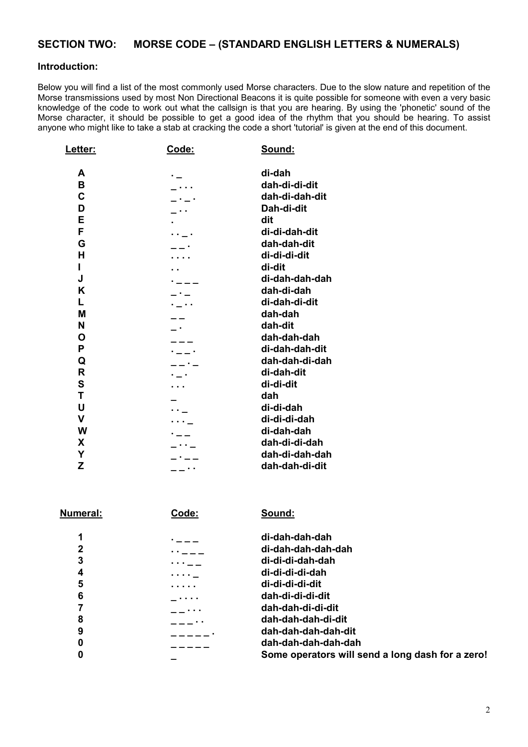## **SECTION TWO: MORSE CODE – (STANDARD ENGLISH LETTERS & NUMERALS)**

#### **Introduction:**

Below you will find a list of the most commonly used Morse characters. Due to the slow nature and repetition of the Morse transmissions used by most Non Directional Beacons it is quite possible for someone with even a very basic knowledge of the code to work out what the callsign is that you are hearing. By using the 'phonetic' sound of the Morse character, it should be possible to get a good idea of the rhythm that you should be hearing. To assist anyone who might like to take a stab at cracking the code a short 'tutorial' is given at the end of this document.

| Letter:                                                                        | <u>Code:</u> | <u>Sound:</u>                                                                                                                                                             |
|--------------------------------------------------------------------------------|--------------|---------------------------------------------------------------------------------------------------------------------------------------------------------------------------|
| A<br>в<br>C<br>D<br>E<br>F<br>G<br>н<br>Ī<br>J<br>Κ<br>L                       |              | di-dah<br>dah-di-di-dit<br>dah-di-dah-dit<br>Dah-di-dit<br>dit<br>di-di-dah-dit<br>dah-dah-dit<br>di-di-di-dit<br>di-dit<br>di-dah-dah-dah<br>dah-di-dah<br>di-dah-di-dit |
| M<br>N                                                                         |              | dah-dah<br>dah-dit                                                                                                                                                        |
| O<br>P                                                                         |              | dah-dah-dah<br>di-dah-dah-dit                                                                                                                                             |
| Q<br>$\overline{\mathsf{R}}$<br>$\mathbf s$<br>T<br>U<br>V<br>W<br>X<br>Y<br>Z |              | dah-dah-di-dah<br>di-dah-dit<br>di-di-dit<br>dah<br>di-di-dah<br>di-di-di-dah<br>di-dah-dah<br>dah-di-di-dah<br>dah-di-dah-dah<br>dah-dah-di-dit                          |
|                                                                                |              |                                                                                                                                                                           |

| Numeral: | Code: | Sound:                                           |
|----------|-------|--------------------------------------------------|
| 1        |       | di-dah-dah-dah                                   |
| 2        |       | di-dah-dah-dah-dah                               |
| 3        |       | di-di-di-dah-dah                                 |
| 4        | .     | di-di-di-di-dah                                  |
| 5        |       | di-di-di-di-dit                                  |
| 6        | .     | dah-di-di-di-dit                                 |
|          |       | dah-dah-di-di-dit                                |
| 8        | . .   | dah-dah-dah-di-dit                               |
| 9        |       | dah-dah-dah-dah-dit                              |
| 0        |       | dah-dah-dah-dah-dah                              |
| 0        |       | Some operators will send a long dash for a zero! |
|          |       |                                                  |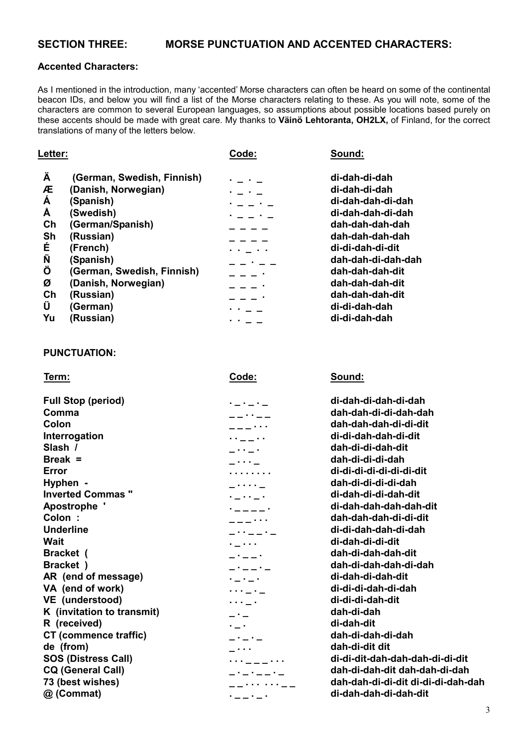#### **Accented Characters:**

As I mentioned in the introduction, many 'accented' Morse characters can often be heard on some of the continental beacon IDs, and below you will find a list of the Morse characters relating to these. As you will note, some of the characters are common to several European languages, so assumptions about possible locations based purely on these accents should be made with great care. My thanks to **Väinö Lehtoranta, OH2LX,** of Finland, for the correct translations of many of the letters below.

| Letter:                                                                                                                                                                                                                                                                                               | Code:                                                                            | Sound:                                                                                                                                                                                                                                              |
|-------------------------------------------------------------------------------------------------------------------------------------------------------------------------------------------------------------------------------------------------------------------------------------------------------|----------------------------------------------------------------------------------|-----------------------------------------------------------------------------------------------------------------------------------------------------------------------------------------------------------------------------------------------------|
| Ä<br>(German, Swedish, Finnish)<br>Æ<br>(Danish, Norwegian)<br>Á<br>(Spanish)<br>A<br>(Swedish)<br>Ch<br>(German/Spanish)<br>Sh<br>(Russian)<br>É<br>(French)<br>Ñ<br>(Spanish)<br>Ö<br>(German, Swedish, Finnish)<br>Ø<br>(Danish, Norwegian)<br>Ch<br>(Russian)<br>Û<br>(German)<br>Yu<br>(Russian) | <b>Contract Contract</b><br>$\sim 100$<br>.<br><b>Contract Contract Contract</b> | di-dah-di-dah<br>di-dah-di-dah<br>di-dah-dah-di-dah<br>di-dah-dah-di-dah<br>dah-dah-dah-dah<br>dah-dah-dah-dah<br>di-di-dah-di-dit<br>dah-dah-di-dah-dah<br>dah-dah-dah-dit<br>dah-dah-dah-dit<br>dah-dah-dah-dit<br>di-di-dah-dah<br>di-di-dah-dah |
|                                                                                                                                                                                                                                                                                                       |                                                                                  |                                                                                                                                                                                                                                                     |

#### **PUNCTUATION:**

 **Term: Code: Sound: Full Stop (period) . \_ . \_ . \_ di-dah-di-dah-di-dah Comma \_ \_ . . \_ \_ dah-dah-di-di-dah-dah Colon \_ \_ \_ . . . dah-dah-dah-di-di-dit Interrogation . . \_ \_ . . di-di-dah-dah-di-dit Slash / \_ . . \_ . dah-di-di-dah-dit Break =**  $\qquad \qquad$  $\qquad \qquad$  $\qquad \qquad$  $\qquad \qquad$  $\qquad \qquad$  $\qquad \qquad$  $\qquad \qquad$  $\qquad \qquad$  $\qquad \qquad$  $\qquad$  $\qquad$  $\qquad$  $\qquad$  $\qquad$  $\qquad$  $\qquad$  $\qquad$  $\qquad$  $\qquad$  $\qquad$  $\qquad$  $\qquad$  $\qquad$  $\qquad$  $\qquad$  $\qquad$  $\qquad$  $\qquad$  $\qquad$  $\qquad$  $\qquad$  **Error . . . . . . . . di-di-di-di-di-di-di-dit Hyphen - \_ . . . . \_ dah-di-di-di-di-dah Inverted Commas " . \_ . . \_ . di-dah-di-di-dah-dit Apostrophe ' . \_ \_ \_ \_ . di-dah-dah-dah-dah-dit Colon : \_ \_ \_ . . . dah-dah-dah-di-di-dit Underline \_ . . \_ \_ . \_ di-di-dah-dah-di-dah Wait . \_ . . . di-dah-di-di-dit Bracket ( \_ . \_ \_ . dah-di-dah-dah-dit**  Bracket ) **Bracket ) Bracket**  $\qquad \qquad - \cdot -$  **dah-di-dah-dah-di-dah** AR (end of message) **AR** (end of message) **and**  $\mathbf{r}_1 \cdot \mathbf{r}_2 \cdot \mathbf{r}_3$  **di-dah-di-dah-dit VA (end of work) . . . \_ . \_ di-di-di-dah-di-dah**  VE (understood) **a substitute of the contract of the contract of the contract of the contract of the contract of the contract of the contract of the contract of the contract of the contract of the contract of the contract K (invitation to transmit) \_ . \_ dah-di-dah**  R (received) **R** (received) **R** (received) CT (commence traffic)  $\begin{array}{ccc} - & - \\ - & - \end{array}$  dah-di-dah-di-dah  **de (from) \_ . . . dah-di-dit dit SOS (Distress Call) . . . \_ \_ \_ . . . di-di-dit-dah-dah-dah-di-di-dit**  CQ (General Call) **CQ** (General Call) **CQ** is a set of  $\begin{array}{ccc} - & - & - & - \end{array}$  dah-di-dah-dit dah-dah-di-dah  **73 (best wishes) \_ \_ . . . . . . \_ \_ dah-dah-di-di-dit di-di-di-dah-dah @ (Commat) . \_ \_ . \_ . di-dah-dah-di-dah-dit**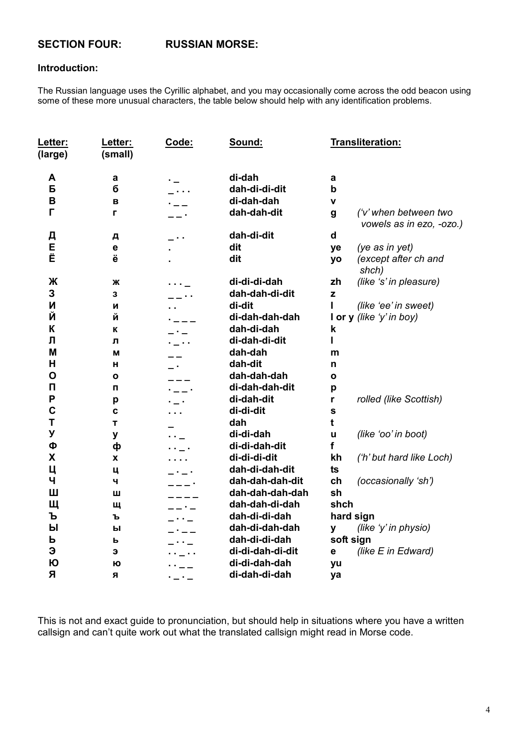### **SECTION FOUR:**

#### **RUSSIAN MORSE:**

#### Introduction:

The Russian language uses the Cyrillic alphabet, and you may occasionally come across the odd beacon using some of these more unusual characters, the table below should help with any identification problems.

| <u>Letter:</u><br>(large) | Letter:<br>(small) | Code:   | Sound:           |             | Transliteration:                                  |
|---------------------------|--------------------|---------|------------------|-------------|---------------------------------------------------|
| A                         | a                  |         | di-dah           | a           |                                                   |
| Б                         | б                  |         | dah-di-di-dit    | $\mathbf b$ |                                                   |
| B                         | B                  |         | di-dah-dah       | $\mathbf v$ |                                                   |
| г                         | г                  |         | dah-dah-dit      | g           | ('v' when between two<br>vowels as in ezo, -ozo.) |
| Д                         | д                  |         | dah-di-dit       | d           |                                                   |
| E                         | $\mathbf e$        |         | dit              | ye          | (ye as in yet)                                    |
| Ë                         | ë                  |         | dit              | yo          | (except after ch and<br>shch)                     |
| Ж                         | Ж                  |         | di-di-di-dah     | zh          | (like 's' in pleasure)                            |
| 3                         | 3                  |         | dah-dah-di-dit   | z           |                                                   |
| N                         | И                  |         | di-dit           |             | (like 'ee' in sweet)                              |
| Й                         | Й                  |         | di-dah-dah-dah   |             | I or $y$ (like 'y' in boy)                        |
| К                         | К                  |         | dah-di-dah       | k           |                                                   |
| Л                         | л                  |         | di-dah-di-dit    |             |                                                   |
| M                         | M                  |         | dah-dah          | m           |                                                   |
| H                         | н                  |         | dah-dit          | n           |                                                   |
| $\mathbf O$               | O                  |         | dah-dah-dah      | O           |                                                   |
| $\mathsf{\Pi}$            | п                  |         | di-dah-dah-dit   | p           |                                                   |
| P                         | p                  |         | di-dah-dit       | r           | rolled (like Scottish)                            |
| $\mathbf c$               | $\mathbf c$        |         | di-di-dit        | $\mathbf s$ |                                                   |
| T                         | T                  |         | dah              | t           |                                                   |
| У                         | y                  |         | di-di-dah        | u           | (like 'oo' in boot)                               |
| Ф                         | ф                  |         | di-di-dah-dit    | f           |                                                   |
| X                         | X                  |         | di-di-di-dit     | kh          | ('h' but hard like Loch)                          |
| Ц                         | ц                  |         | dah-di-dah-dit   | ts          |                                                   |
| Ч                         | ч                  |         | dah-dah-dah-dit  | ch          | (occasionally 'sh')                               |
| Ш                         | Ш                  |         | dah-dah-dah-dah  | sh          |                                                   |
| Щ                         | Щ                  |         | dah-dah-di-dah   | shch        |                                                   |
| Ъ                         | ъ                  |         | dah-di-di-dah    |             | hard sign                                         |
| Ы                         | Ы                  |         | dah-di-dah-dah   | У           | (like 'y' in physio)                              |
| ь                         | ь                  |         | dah-di-di-dah    |             | soft sign                                         |
| Э                         | э                  |         | di-di-dah-di-dit | е           | (like E in Edward)                                |
| Ю                         | Ю                  |         | di-di-dah-dah    | yu          |                                                   |
| Я                         | Я                  | . _ . _ | di-dah-di-dah    | ya          |                                                   |
|                           |                    |         |                  |             |                                                   |

This is not and exact guide to pronunciation, but should help in situations where you have a written callsign and can't quite work out what the translated callsign might read in Morse code.